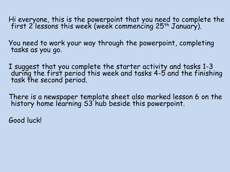Hi everyone, this is the powerpoint that you need to complete the first 2 lessons this week (week commencing 25th January).

You need to work your way through the powerpoint, completing tasks as you go.

I suggest that you complete the starter activity and tasks 1-3 during the first period this week and tasks 4-5 and the finishing task the second period.

There is a newspaper template sheet also marked lesson 6 on the history home learning S3 hub beside this powerpoint.

Good luck!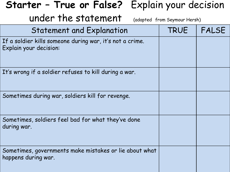| Starter - True or False? Explain your decision                                     |                              |              |  |
|------------------------------------------------------------------------------------|------------------------------|--------------|--|
| under the statement                                                                | (adapted from Seymour Hersh) |              |  |
| <b>Statement and Explanation</b>                                                   | <b>TRUE</b>                  | <b>FALSE</b> |  |
| If a soldier kills someone during war, it's not a crime.<br>Explain your decision: |                              |              |  |
| It's wrong if a soldier refuses to kill during a war.                              |                              |              |  |
| Sometimes during war, soldiers kill for revenge.                                   |                              |              |  |
| Sometimes, soldiers feel bad for what they've done<br>during war.                  |                              |              |  |
| Sometimes, governments make mistakes or lie about what<br>happens during war.      |                              |              |  |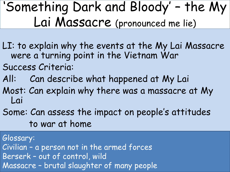## 'Something Dark and Bloody' – the My Lai Massacre (pronounced me lie)

- LI: to explain why the events at the My Lai Massacre were a turning point in the Vietnam War
- Success Criteria:
- All: Can describe what happened at My Lai
- Most: Can explain why there was a massacre at My Lai
- Some: Can assess the impact on people's attitudes to war at home

Glossary: Civilian – a person not in the armed forces Berserk – out of control, wild Massacre – brutal slaughter of many people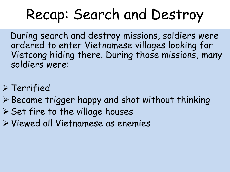# Recap: Search and Destroy

During search and destroy missions, soldiers were ordered to enter Vietnamese villages looking for Vietcong hiding there. During those missions, many soldiers were:

- ➢ Terrified
- ➢ Became trigger happy and shot without thinking
- ➢ Set fire to the village houses
- ➢ Viewed all Vietnamese as enemies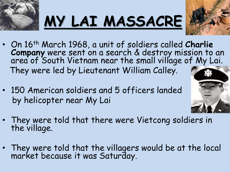





- On 16th March 1968, a unit of soldiers called **Charlie Company** were sent on a search & destroy mission to an area of South Vietnam near the small village of My Lai. They were led by Lieutenant William Calley.
- 150 American soldiers and 5 officers landed by helicopter near My Lai



- They were told that there were Vietcong soldiers in the village.
- They were told that the villagers would be at the local market because it was Saturday.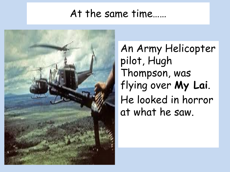### At the same time……



An Army Helicopter pilot, Hugh Thompson, was flying over **My Lai**. He looked in horror at what he saw.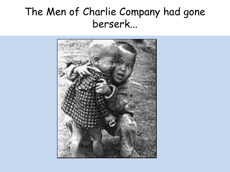### The Men of Charlie Company had gone berserk...

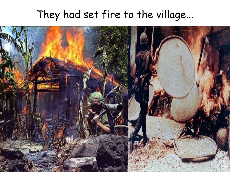### They had set fire to the village...

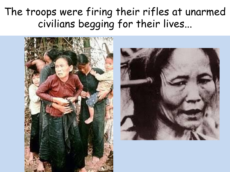### The troops were firing their rifles at unarmed civilians begging for their lives...



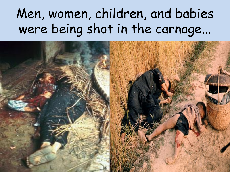## Men, women, children, and babies were being shot in the carnage...

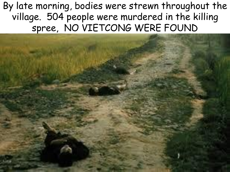By late morning, bodies were strewn throughout the village. 504 people were murdered in the killing spree, NO VIETCONG WERE FOUND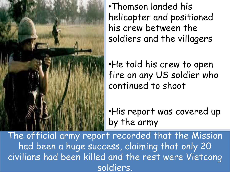

•Thomson landed his helicopter and positioned his crew between the soldiers and the villagers

•He told his crew to open fire on any US soldier who continued to shoot

•His report was covered up by the army

The official army report recorded that the Mission had been a huge success, claiming that only 20 civilians had been killed and the rest were Vietcong soldiers.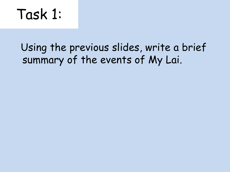## Task 1:

### Using the previous slides, write a brief summary of the events of My Lai.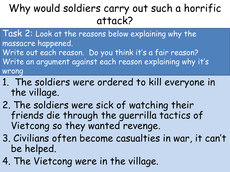## Why would soldiers carry out such a horrific attack?

- Task 2: Look at the reasons below explaining why the massacre happened.
- Write out each reason. Do you think it's a fair reason? Write an argument against each reason explaining why it's wrong
- 1. The soldiers were ordered to kill everyone in the village.
- 2. The soldiers were sick of watching their friends die through the guerrilla tactics of Vietcong so they wanted revenge.
- 3. Civilians often become casualties in war, it can't be helped.
- 4. The Vietcong were in the village.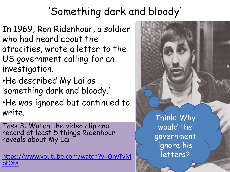## 'Something dark and bloody'

- In 1969, Ron Ridenhour, a soldier who had heard about the atrocities, wrote a letter to the US government calling for an investigation.
- •He described My Lai as 'something dark and bloody.'
- •He was ignored but continued to write.
- Task 3: Watch the video clip and record at least 5 things Ridenhour reveals about My Lai

[https://www.youtube.com/watch?v=OnvTyM](https://www.youtube.com/watch?v=OnvTyMptOt8) ptOt8

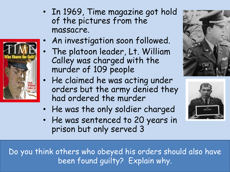

- In 1969, Time magazine got hold of the pictures from the massacre.
	- An investigation soon followed.
- The platoon leader, Lt. William Calley was charged with the murder of 109 people
- He claimed he was acting under orders but the army denied they had ordered the murder
- He was the only soldier charged
- He was sentenced to 20 years in prison but only served 3





Do you think others who obeyed his orders should also have been found guilty? Explain why.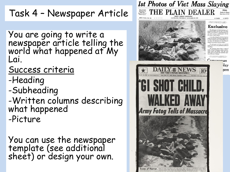#### Task 4 – Newspaper Article

You are going to write a newspaper article telling the world what happened at My Lai.

Success criteria

- -Heading
- -Subheading
- -Written columns describing what happened -Picture

You can use the newspaper template (see additional sheet) or design your own.

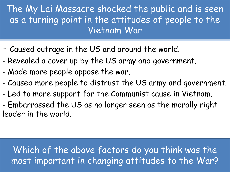The My Lai Massacre shocked the public and is seen as a turning point in the attitudes of people to the Vietnam War

- Caused outrage in the US and around the world.
- Revealed a cover up by the US army and government.
- Made more people oppose the war.
- Caused more people to distrust the US army and government.
- Led to more support for the Communist cause in Vietnam.
- Embarrassed the US as no longer seen as the morally right leader in the world.

#### Which of the above factors do you think was the most important in changing attitudes to the War?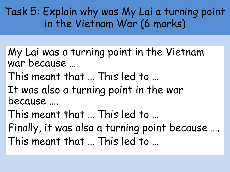Task 5: Explain why was My Lai a turning point in the Vietnam War (6 marks)

- My Lai was a turning point in the Vietnam war because …
- This meant that … This led to …
- It was also a turning point in the war because ….
- This meant that … This led to …
- Finally, it was also a turning point because …. This meant that … This led to …